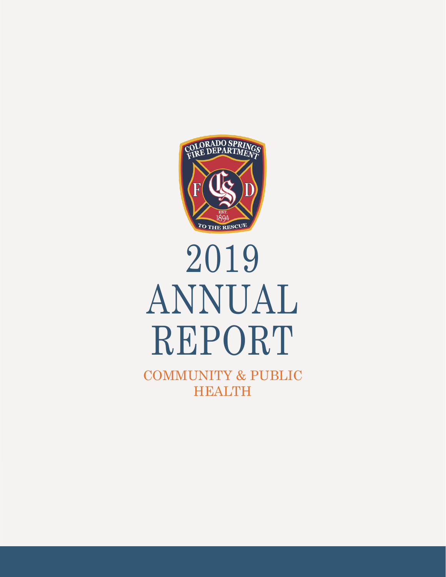

# 2019 ANNUAL REPORT

COMMUNITY & PUBLIC HEALTH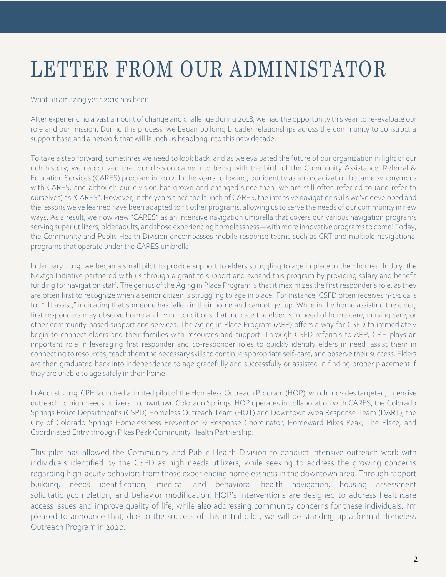## LETTER FROM OUR ADMINISTATOR

#### What an amazing year 2019 has been!

After experiencing a vast amount of change and challenge during 2018, we had the opportunity this year to re-evaluate our role and our mission. During this process, we began building broader relationships across the community to construct a support base and a network that will launch us headlong into this new decade.

 To take a step forward, sometimes we need to look back, and as we evaluated the future of our organization in light of our rich history, we recognized that our division came into being with the birth of the Community Assistance, Referral & Education Services (CARES) program in 2012. In the years following, our identity as an organization became synonymous with CARES, and although our division has grown and changed since then, we are still often referred to (and refer to ourselves) as "CARES". However, in the years since the launch of CARES, the intensive navigation skills we've developed and the lessons we've learned have been adapted to fit other programs, allowing us to serve the needs of our community in new ways. As a result, we now view "CARES" as an intensive navigation umbrella that covers our various navigation programs serving super utilizers, older adults, and those experiencing homelessness—with more innovative programs to come! Today, the Community and Public Health Division encompasses mobile response teams such as CRT and multiple navigational programs that operate under the CARES umbrella.

In January 2019, we began a small pilot to provide support to elders struggling to age in place in their homes. In July, the Next50 Initiative partnered with us through a grant to support and expand this program by providing salary and benefit funding for navigation staff. The genius of the Aging in Place Program is that it maximizes the first responder's role, as they are often first to recognize when a senior citizen is struggling to age in place. For instance, CSFD often receives 9-1-1 calls for "lift assist," indicating that someone has fallen in their home and cannot get up. While in the home assisting the elder, first responders may observe home and living conditions that indicate the elder is in need of home care, nursing care, or other community-based support and services. The Aging in Place Program (APP) offers a way for CSFD to immediately begin to connect elders and their families with resources and support. Through CSFD referrals to APP, CPH plays an important role in leveraging first responder and co-responder roles to quickly identify elders in need, assist them in connecting to resources, teach them the necessary skills to continue appropriate self-care, and observe their success. Elders are then graduated back into independence to age gracefully and successfully or assisted in finding proper placement if they are unable to age safely in their home.

In August 2019, CPH launched a limited pilot of the Homeless Outreach Program (HOP), which provides targeted, intensive outreach to high needs utilizers in downtown Colorado Springs. HOP operates in collaboration with CARES, the Colorado Springs Police Department's (CSPD) Homeless Outreach Team (HOT) and Downtown Area Response Team (DART), the City of Colorado Springs Homelessness Prevention & Response Coordinator, Homeward Pikes Peak, The Place, and Coordinated Entry through Pikes Peak Community Health Partnership.

This pilot has allowed the Community and Public Health Division to conduct intensive outreach work with individuals identified by the CSPD as high needs utilizers, while seeking to address the growing concerns regarding high-acuity behaviors from those experiencing homelessness in the downtown area. Through rapport building, needs identification, medical and behavioral health navigation, housing assessment solicitation/completion, and behavior modification, HOP's interventions are designed to address healthcare access issues and improve quality of life, while also addressing community concerns for these individuals. I'm pleased to announce that, due to the success of this initial pilot, we will be standing up a formal Homeless Outreach Program in 2020.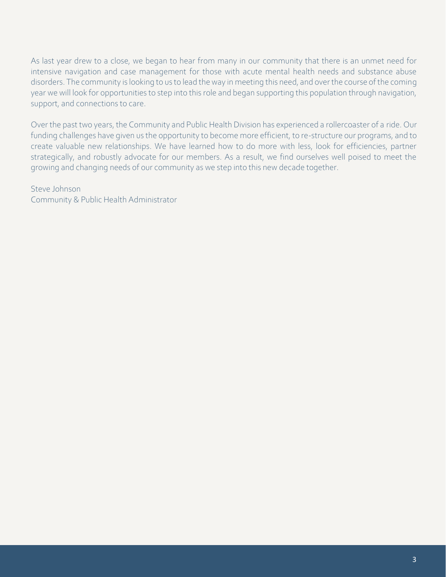As last year drew to a close, we began to hear from many in our community that there is an unmet need for intensive navigation and case management for those with acute mental health needs and substance abuse disorders. The community is looking to us to lead the way in meeting this need, and over the course of the coming year we will look for opportunities to step into this role and began supporting this population through navigation, support, and connections to care.

Over the past two years, the Community and Public Health Division has experienced a rollercoaster of a ride. Our funding challenges have given us the opportunity to become more efficient, to re-structure our programs, and to create valuable new relationships. We have learned how to do more with less, look for efficiencies, partner strategically, and robustly advocate for our members. As a result, we find ourselves well poised to meet the growing and changing needs of our community as we step into this new decade together.

Steve Johnson Community & Public Health Administrator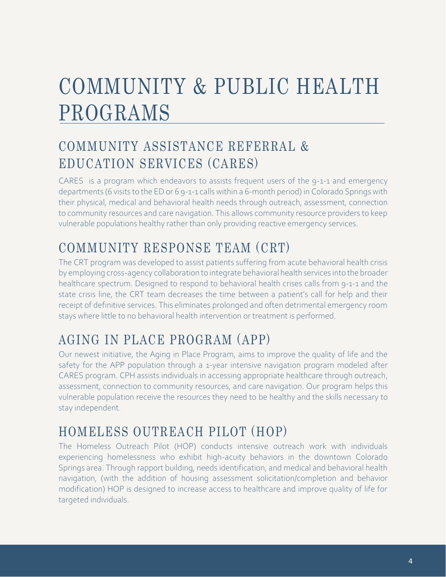### COMMUNITY & PUBLIC HEALTH PROGRAMS

#### COMMUNITY ASSISTANCE REFERRAL & EDUCATION SERVICES (CARES)

CARES is a program which endeavors to assists frequent users of the 9-1-1 and emergency departments (6 visits to the ED or 6 9-1-1 calls within a 6-month period) in Colorado Springs with their physical, medical and behavioral health needs through outreach, assessment, connection to community resources and care navigation. This allows community resource providers to keep vulnerable populations healthy rather than only providing reactive emergency services.

#### COMMUNITY RESPONSE TEAM (CRT)

The CRT program was developed to assist patients suffering from acute behavioral health crisis by employing cross-agency collaboration to integrate behavioral health services into the broader healthcare spectrum. Designed to respond to behavioral health crises calls from 9-1-1 and the state crisis line, the CRT team decreases the time between a patient's call for help and their receipt of definitive services. This eliminates prolonged and often detrimental emergency room stays where little to no behavioral health intervention or treatment is performed.

#### AGING IN PLACE PROGRAM (APP)

Our newest initiative, the Aging in Place Program, aims to improve the quality of life and the safety for the APP population through a 1-year intensive navigation program modeled after CARES program. CPH assists individuals in accessing appropriate healthcare through outreach, assessment, connection to community resources, and care navigation. Our program helps this vulnerable population receive the resources they need to be healthy and the skills necessary to stay independent.

#### HOMELESS OUTREACH PILOT (HOP)

The Homeless Outreach Pilot (HOP) conducts intensive outreach work with individuals experiencing homelessness who exhibit high-acuity behaviors in the downtown Colorado Springs area. Through rapport building, needs identification, and medical and behavioral health navigation, (with the addition of housing assessment solicitation/completion and behavior modification) HOP is designed to increase access to healthcare and improve quality of life for targeted individuals.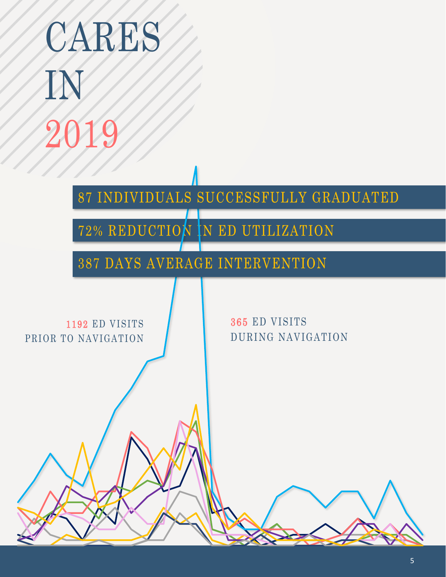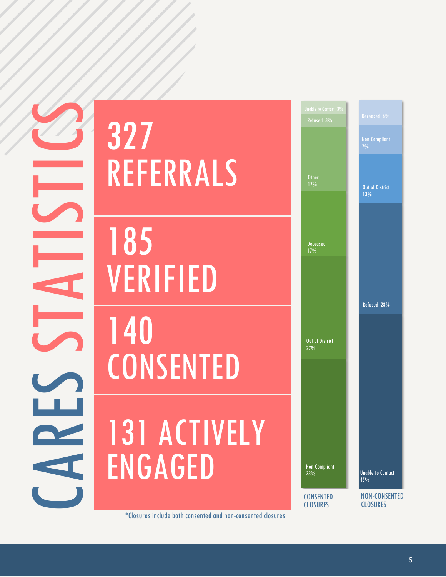CARES STATISTICS

# 327 REFERRALS

185 VERIFIED

# 140 **CONSENTED**

# 131 ACTIVELY ENGAGED



\*Closures include both consented and non-consented closures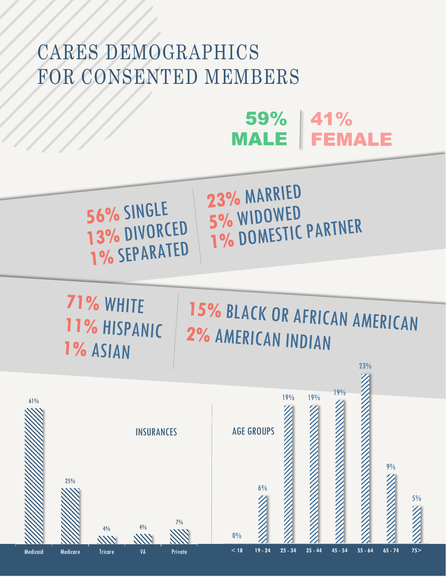### CARES DEMOGRAPHICS FOR CONSENTED MEMBERS

#### $59\%$  | 41% **FEMALE MALE**

#### 56% SINGLE 13% DIVORCED 1% SEPARATED

23% MARRIED 5% WIDOWED 5% WIDUWED<br>1% DOMESTIC PARTNER

71% WHITE 11% HISPANIC 1% ASIAN

## 15% BLACK OR AFRICAN AMERICAN 2% AMERICAN INDIAN

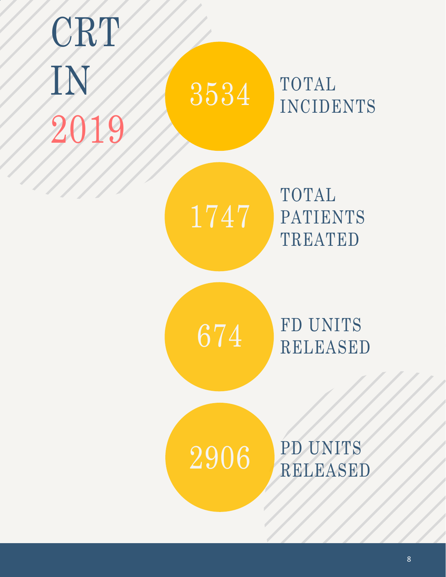## CRT IN 2019 TOTAL INCIDENTS TOTAL PATIENTS TREATED FD UNITS RELEASED 3534 1747 674 2906 PD UNITS RELEASED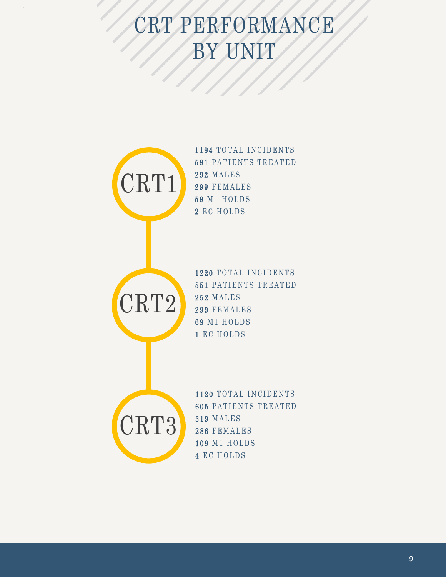## CRT PERFORMANCE BY UNIT



1194 TOTAL INCIDENTS 591 PATIENTS TREATED 292 MALES 299 FEMALES 59 M1 HOLDS 2 EC HOLDS



1220 TOTAL INCIDENTS 551 PATIENTS TREATED **252 MALES** 299 FEMALES 69 M1 HOLDS 1 EC HOLDS



1120 TOTAL INCIDENTS **605 PATIENTS TREATED** 319 MALES 286 FEMALES 109 M1 HOLDS 4 EC HOLDS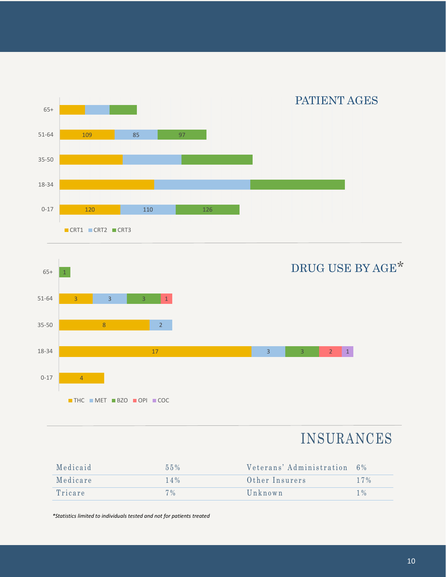



#### INSURANCES

| Medicaid | $55\%$ | Veterans' Administration 6% |        |
|----------|--------|-----------------------------|--------|
| Medicare | $14\%$ | Other Insurers              | $17\%$ |
| Tricare  | $7\%$  | $U_n$ known                 | $1\%$  |

 *\*Statistics limited to individuals tested and not for patients treated*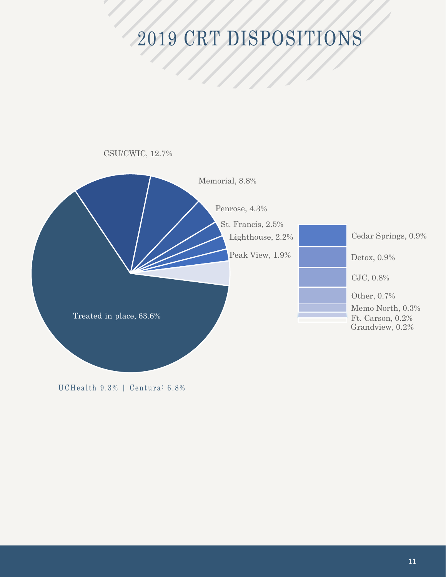## 2019 CRT DISPOSITIONS



UCHealth 9.3% | Centura: 6.8%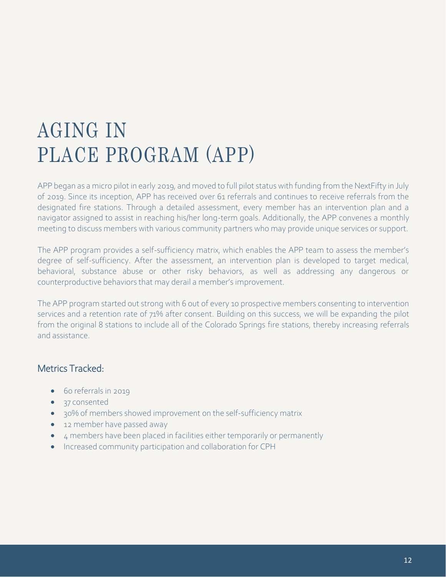#### AGING IN PLACE PROGRAM (APP)

APP began as a micro pilot in early 2019, and moved to full pilot status with funding from the NextFifty in July of 2019. Since its inception, APP has received over 61 referrals and continues to receive referrals from the designated fire stations. Through a detailed assessment, every member has an intervention plan and a navigator assigned to assist in reaching his/her long-term goals. Additionally, the APP convenes a monthly meeting to discuss members with various community partners who may provide unique services or support.

The APP program provides a self-sufficiency matrix, which enables the APP team to assess the member's degree of self-sufficiency. After the assessment, an intervention plan is developed to target medical, behavioral, substance abuse or other risky behaviors, as well as addressing any dangerous or counterproductive behaviors that may derail a member'simprovement.

The APP program started out strong with 6 out of every 10 prospective members consenting to intervention services and a retention rate of 71% after consent. Building on this success, we will be expanding the pilot from the original 8 stations to include all of the Colorado Springs fire stations, thereby increasing referrals and assistance.

#### Metrics Tracked:

- 60 referrals in 2019
- 37 consented
- 30% of members showed improvement on the self-sufficiency matrix
- 12 member have passed away
- 4 members have been placed in facilities either temporarily or permanently
- Increased community participation and collaboration for CPH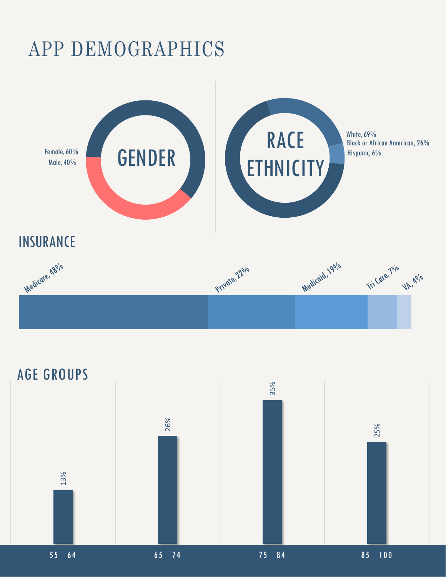### APP DEMOGRAPHICS



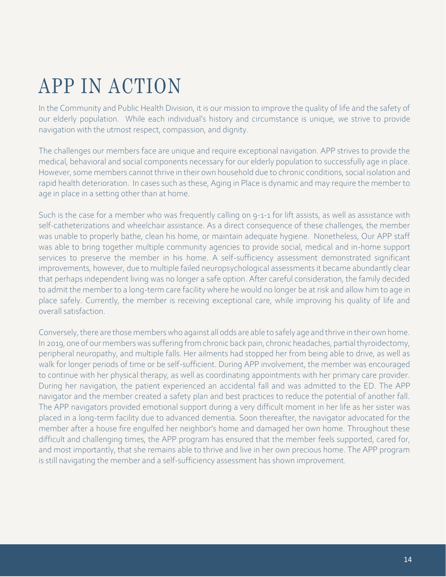### APP IN ACTION

In the Community and Public Health Division, it is our mission to improve the quality of life and the safety of our elderly population. While each individual's history and circumstance is unique, we strive to provide navigation with the utmost respect, compassion, and dignity.

The challenges our members face are unique and require exceptional navigation. APP strives to provide the medical, behavioral and social components necessary for our elderly population to successfully age in place. However, some members cannot thrive in their own household due to chronic conditions, social isolation and rapid health deterioration. In cases such as these, Aging in Place is dynamic and may require the member to age in place in a setting other than at home.

Such is the case for a member who was frequently calling on 9-1-1 for lift assists, as well as assistance with self-catheterizations and wheelchair assistance. As a direct consequence of these challenges, the member was unable to properly bathe, clean his home, or maintain adequate hygiene. Nonetheless, Our APP staff was able to bring together multiple community agencies to provide social, medical and in-home support services to preserve the member in his home. A self-sufficiency assessment demonstrated significant improvements, however, due to multiple failed neuropsychological assessments it became abundantly clear that perhaps independent living was no longer a safe option. After careful consideration, the family decided to admit the member to a long-term care facility where he would no longer be at risk and allow him to age in place safely. Currently, the member is receiving exceptional care, while improving his quality of life and overall satisfaction.

 Conversely, there are those members who against all odds are able to safely age and thrive in their own home. In 2019, one of our members was suffering from chronic back pain, chronic headaches, partial thyroidectomy, peripheral neuropathy, and multiple falls. Her ailments had stopped her from being able to drive, as well as walk for longer periods of time or be self-sufficient. During APP involvement, the member was encouraged to continue with her physical therapy, as well as coordinating appointments with her primary care provider. During her navigation, the patient experienced an accidental fall and was admitted to the ED. The APP navigator and the member created a safety plan and best practices to reduce the potential of another fall. The APP navigators provided emotional support during a very difficult moment in her life as her sister was placed in a long-term facility due to advanced dementia. Soon thereafter, the navigator advocated for the member after a house fire engulfed her neighbor's home and damaged her own home. Throughout these difficult and challenging times, the APP program has ensured that the member feels supported, cared for, and most importantly, that she remains able to thrive and live in her own precious home. The APP program is still navigating the member and a self-sufficiency assessment has shown improvement.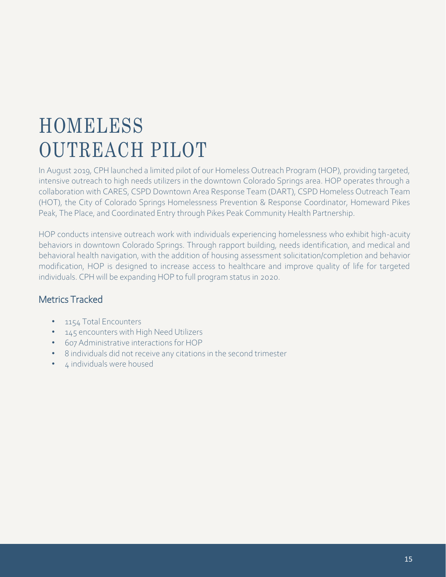### HOMELESS OUTREACH PILOT

In August 2019, CPH launched a limited pilot of our Homeless Outreach Program (HOP), providing targeted, intensive outreach to high needs utilizers in the downtown Colorado Springs area. HOP operates through a collaboration with CARES, CSPD Downtown Area Response Team (DART), CSPD Homeless Outreach Team (HOT), the City of Colorado Springs Homelessness Prevention & Response Coordinator, Homeward Pikes Peak, The Place, and Coordinated Entry through Pikes Peak Community Health Partnership.

HOP conducts intensive outreach work with individuals experiencing homelessness who exhibit high-acuity behaviors in downtown Colorado Springs. Through rapport building, needs identification, and medical and behavioral health navigation, with the addition of housing assessment solicitation/completion and behavior modification, HOP is designed to increase access to healthcare and improve quality of life for targeted individuals. CPH will be expanding HOP to full program status in 2020.

#### Metrics Tracked

- 1154 Total Encounters
- 145 encounters with High Need Utilizers
- 607 Administrative interactions for HOP
- 8 individuals did not receive any citations in the second trimester
- 4 individuals were housed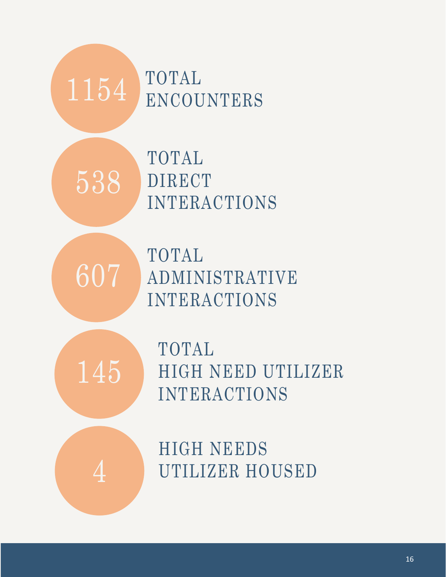